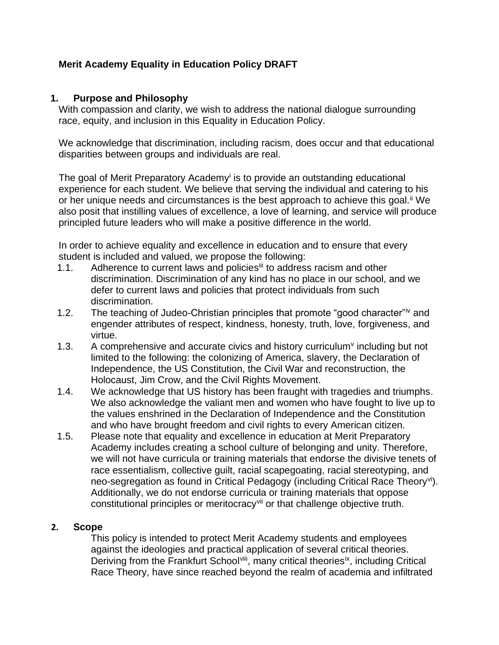# **Merit Academy Equality in Education Policy DRAFT**

### **1. Purpose and Philosophy**

With compassion and clarity, we wish to address the national dialogue surrounding race, equity, and inclusion in this Equality in Education Policy.

We acknowledge that discrimination, including racism, does occur and that educational disparities between groups and individuals are real.

The goal of Merit Preparatory Academy<sup>i</sup> is to provide an outstanding educational experience for each student. We believe that serving the individual and catering to his or her unique needs and circumstances is the best approach to achieve this goal.<sup>ii</sup> We also posit that instilling values of excellence, a love of learning, and service will produce principled future leaders who will make a positive difference in the world.

In order to achieve equality and excellence in education and to ensure that every student is included and valued, we propose the following:

- 1.1. Adherence to current laws and policies<sup>iii</sup> to address racism and other discrimination. Discrimination of any kind has no place in our school, and we defer to current laws and policies that protect individuals from such discrimination.
- 1.2. The teaching of Judeo-Christian principles that promote "good character"iv and engender attributes of respect, kindness, honesty, truth, love, forgiveness, and virtue.
- 1.3. A comprehensive and accurate civics and history curriculum<sup> $\vee$ </sup> including but not limited to the following: the colonizing of America, slavery, the Declaration of Independence, the US Constitution, the Civil War and reconstruction, the Holocaust, Jim Crow, and the Civil Rights Movement.
- 1.4. We acknowledge that US history has been fraught with tragedies and triumphs. We also acknowledge the valiant men and women who have fought to live up to the values enshrined in the Declaration of Independence and the Constitution and who have brought freedom and civil rights to every American citizen.
- 1.5. Please note that equality and excellence in education at Merit Preparatory Academy includes creating a school culture of belonging and unity. Therefore, we will not have curricula or training materials that endorse the divisive tenets of race essentialism, collective guilt, racial scapegoating, racial stereotyping, and neo-segregation as found in Critical Pedagogy (including Critical Race Theoryvi). Additionally, we do not endorse curricula or training materials that oppose constitutional principles or meritocracy<sup>vii</sup> or that challenge objective truth.

### **2. Scope**

This policy is intended to protect Merit Academy students and employees against the ideologies and practical application of several critical theories. Deriving from the Frankfurt School<sup>viii</sup>, many critical theoriesix, including Critical Race Theory, have since reached beyond the realm of academia and infiltrated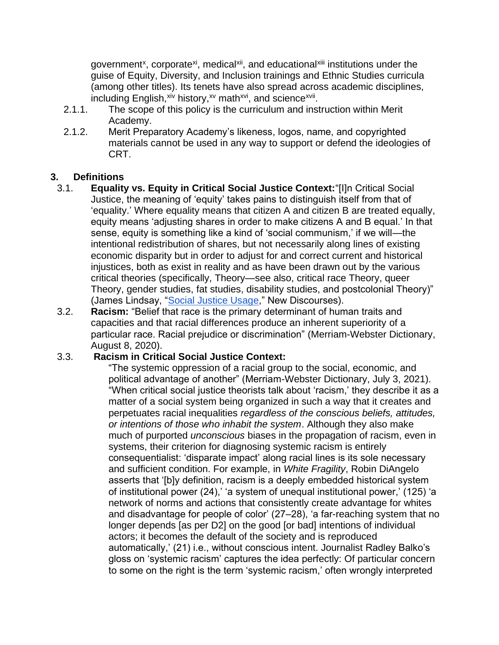government<sup>x</sup>, corporate<sup>xi</sup>, medical<sup>xii</sup>, and educational<sup>xiii</sup> institutions under the guise of Equity, Diversity, and Inclusion trainings and Ethnic Studies curricula (among other titles). Its tenets have also spread across academic disciplines, including English, xiv history, xv math xvi, and science xvii.

- 2.1.1. The scope of this policy is the curriculum and instruction within Merit Academy.
- 2.1.2. Merit Preparatory Academy's likeness, logos, name, and copyrighted materials cannot be used in any way to support or defend the ideologies of CRT.

# **3. Definitions**

- 3.1. **Equality vs. Equity in Critical Social Justice Context:**"[I]n Critical [Social](https://newdiscourses.com/tftw-social-justice/)  [Justice,](https://newdiscourses.com/tftw-social-justice/) the meaning of 'equity' takes pains to distinguish itself from that of ['equality.](https://newdiscourses.com/tftw-equality-equal-opportunity-ideology/)' Where equality means that citizen A and citizen B are treated equally, equity means 'adjusting shares in order to make citizens A and B equal.' In that sense, equity is something like a kind of 'social communism,' if we will—the intentional redistribution of shares, but not necessarily along lines of existing economic disparity but in order to adjust for and correct current and historical injustices, both as exist in reality and as have been drawn out by the various [critical theories](https://newdiscourses.com/tftw-critical-theory/) (specifically, [Theory—](https://newdiscourses.com/tftw-theory/)see also, [critical race Theory,](https://newdiscourses.com/tftw-critical-race-theory/) [queer](https://newdiscourses.com/tftw-queer-theory/)  [Theory,](https://newdiscourses.com/tftw-queer-theory/) gender studies, [fat studies,](https://newdiscourses.com/tftw-fat-studies/) [disability studies,](https://newdiscourses.com/tftw-disability-studies/) and postcolonial Theory)" (James Lindsay, ["Social Justice Usage,](https://newdiscourses.com/tftw-equity/)" New Discourses).
- 3.2. **Racism:** "Belief that race is the primary determinant of human traits and capacities and that racial differences produce an inherent superiority of a particular race. Racial prejudice or discrimination" (Merriam-Webster Dictionary, August 8, 2020).

# 3.3. **Racism in Critical Social Justice Context:**

"The [systemic](https://www.merriam-webster.com/dictionary/systemic#h1) oppression of a racial group to the social, economic, and political advantage of another" (Merriam-Webster Dictionary, July 3, 2021). "When critical social justice theorists talk about 'racism,' they describe it as a matter of a social system being organized in such a way that it creates and perpetuates racial inequalities *regardless of the conscious beliefs, attitudes, or intentions of those who inhabit the system*. Although they also make much of purported *unconscious* biases in the propagation of racism, even in systems, their criterion for diagnosing systemic racism is entirely consequentialist: 'disparate impact' along racial lines is its sole necessary and sufficient condition. For example, in *[White Fragility](https://amzn.to/2Z93tkj)*, Robin DiAngelo asserts that '[b]y definition, racism is a deeply embedded historical system of institutional power (24),' 'a system of unequal institutional power,' (125) 'a network of norms and actions that consistently create advantage for whites and disadvantage for people of color' (27–28), 'a far-reaching system that no longer depends [as per D2] on the good [or bad] intentions of individual actors; it becomes the default of the society and is reproduced automatically,' (21) i.e., without conscious intent. Journalist [Radley Balko's](https://www.washingtonpost.com/graphics/2020/opinions/systemic-racism-police-evidence-criminal-justice-system/?itid=ap_radleybalko&itid=lk_inline_manual_8)  [gloss on 'systemic racism'](https://www.washingtonpost.com/graphics/2020/opinions/systemic-racism-police-evidence-criminal-justice-system/?itid=ap_radleybalko&itid=lk_inline_manual_8) captures the idea perfectly: Of particular concern to some on the right is the term 'systemic racism,' often wrongly interpreted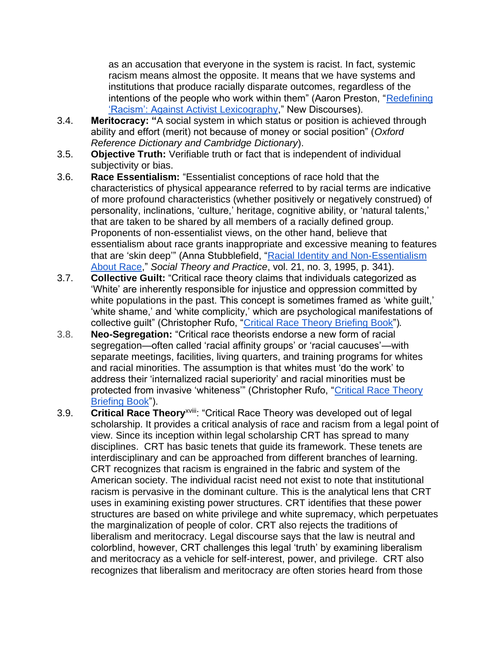as an accusation that everyone in the system is racist. In fact, systemic racism means almost the opposite. It means that we have systems and institutions that produce racially disparate outcomes, regardless of the intentions of the people who work within them" (Aaron Preston, ["Redefining](https://newdiscourses.com/2020/08/redefining-racism-against-activist-lexicography/)  ['Racism': Against Activist Lexicography,](https://newdiscourses.com/2020/08/redefining-racism-against-activist-lexicography/)" New Discourses).

- 3.4. **Meritocracy: "**A social system in which status or position is achieved through ability and effort (merit) not because of money or social position" (*Oxford Reference Dictionary and Cambridge Dictionary*).
- 3.5. **Objective Truth:** Verifiable truth or fact that is independent of individual subjectivity or bias.
- 3.6. **Race Essentialism:** "Essentialist conceptions of race hold that the characteristics of physical appearance referred to by racial terms are indicative of more profound characteristics (whether positively or negatively construed) of personality, inclinations, 'culture,' heritage, cognitive ability, or 'natural talents,' that are taken to be shared by all members of a racially defined group. Proponents of non-essentialist views, on the other hand, believe that essentialism about race grants inappropriate and excessive meaning to features that are 'skin deep'" (Anna Stubblefield, ["Racial Identity and Non-Essentialism](https://www.jstor.org/stable/23557192)  [About Race,](https://www.jstor.org/stable/23557192)" *Social Theory and Practice*, vol. 21, no. 3, 1995, p. 341).
- 3.7. **Collective Guilt:** "Critical race theory claims that individuals categorized as 'White' are inherently responsible for injustice and oppression committed by white populations in the past. This concept is sometimes framed as 'white quilt,' 'white shame,' and 'white complicity,' which are psychological manifestations of collective guilt" (Christopher Rufo, ["Critical Race Theory Briefing Book"](https://christopherrufo.com/crt-briefing-book/))*.*
- 3.8. **Neo-Segregation:** "Critical race theorists endorse a new form of racial segregation—often called 'racial affinity groups' or 'racial caucuses'—with separate meetings, facilities, living quarters, and training programs for whites and racial minorities. The assumption is that whites must 'do the work' to address their 'internalized racial superiority' and racial minorities must be protected from invasive 'whiteness'" (Christopher Rufo, ["Critical Race Theory](https://christopherrufo.com/crt-briefing-book/)  [Briefing Book"](https://christopherrufo.com/crt-briefing-book/)).
- 3.9. **Critical Race Theory**xviii: "Critical Race Theory was developed out of legal scholarship. It provides a critical analysis of race and racism from a legal point of view. Since its inception within legal scholarship CRT has spread to many disciplines. CRT has basic tenets that guide its framework. These tenets are interdisciplinary and can be approached from different branches of learning. CRT recognizes that racism is engrained in the fabric and system of the American society. The individual racist need not exist to note that institutional racism is pervasive in the dominant culture. This is the analytical lens that CRT uses in examining existing power structures. CRT identifies that these power structures are based on white privilege and white supremacy, which perpetuates the marginalization of people of color. CRT also rejects the traditions of liberalism and meritocracy. Legal discourse says that the law is neutral and colorblind, however, CRT challenges this legal 'truth' by examining liberalism and meritocracy as a vehicle for self-interest, power, and privilege. CRT also recognizes that liberalism and meritocracy are often stories heard from those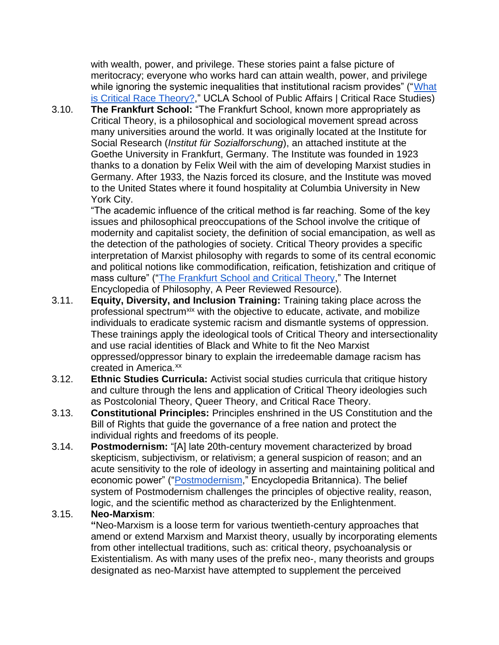with wealth, power, and privilege. These stories paint a false picture of meritocracy; everyone who works hard can attain wealth, power, and privilege while ignoring the systemic inequalities that institutional racism provides" ("What [is Critical Race Theory?,](https://spacrs.wordpress.com/what-is-critical-race-theory)" UCLA School of Public Affairs | Critical Race Studies)

3.10. **The Frankfurt School:** "The Frankfurt School, known more appropriately as Critical Theory, is a philosophical and sociological movement spread across many universities around the world. It was originally located at the Institute for Social Research (*Institut für Sozialforschung*), an attached institute at the Goethe University in Frankfurt, Germany. The Institute was founded in 1923 thanks to a donation by Felix Weil with the aim of developing Marxist studies in Germany. After 1933, the Nazis forced its closure, and the Institute was moved to the United States where it found hospitality at Columbia University in New York City.

"The academic influence of the critical method is far reaching. Some of the key issues and philosophical preoccupations of the School involve the critique of modernity and capitalist society, the definition of social emancipation, as well as the detection of the pathologies of society. Critical Theory provides a specific interpretation of Marxist philosophy with regards to some of its central economic and political notions like commodification, reification, fetishization and critique of mass culture" (["The Frankfurt School and Critical Theory,](https://iep.utm.edu/frankfur/)" The Internet Encyclopedia of Philosophy, A Peer Reviewed Resource).

- 3.11. **Equity, Diversity, and Inclusion Training:** Training taking place across the professional spectrum<sup>xix</sup> with the objective to educate, activate, and mobilize individuals to eradicate systemic racism and dismantle systems of oppression. These trainings apply the ideological tools of Critical Theory and intersectionality and use racial identities of Black and White to fit the Neo Marxist oppressed/oppressor binary to explain the irredeemable damage racism has created in America.<sup>xx</sup>
- 3.12. **Ethnic Studies Curricula:** Activist social studies curricula that critique history and culture through the lens and application of Critical Theory ideologies such as Postcolonial Theory, Queer Theory, and Critical Race Theory.
- 3.13. **Constitutional Principles:** Principles enshrined in the US Constitution and the Bill of Rights that guide the governance of a free nation and protect the individual rights and freedoms of its people.
- 3.14. **Postmodernism:** "[A] late 20th-century movement characterized by broad [skepticism,](https://www.britannica.com/topic/skepticism) subjectivism, or relativism; a general suspicion of [reason;](https://www.britannica.com/topic/reason) and an [acute](https://www.merriam-webster.com/dictionary/acute) sensitivity to the role of [ideology](https://www.britannica.com/topic/ideology-society) in asserting and maintaining political and economic power" (["Postmodernism,](https://www.britannica.com/topic/postmodernism-philosophy)" Encyclopedia Britannica). The belief system of Postmodernism challenges the principles of objective reality, reason, logic, and the scientific method as characterized by the Enlightenment.

# 3.15. **Neo-Marxism**:

**"**Neo-Marxism is a loose term for various twentieth-century approaches that amend or extend Marxism and Marxist theory, usually by incorporating elements from other intellectual traditions, such as: critical theory, psychoanalysis or Existentialism. As with many uses of the prefix neo-, many theorists and groups designated as neo-Marxist have attempted to supplement the perceived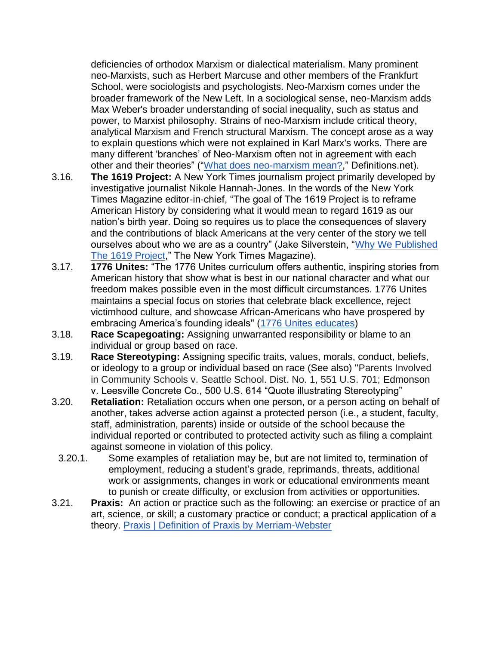deficiencies of orthodox Marxism or dialectical materialism. Many prominent neo-Marxists, such as Herbert Marcuse and other members of the Frankfurt School, were sociologists and psychologists. Neo-Marxism comes under the broader framework of the New Left. In a sociological sense, neo-Marxism adds Max Weber's broader understanding of social inequality, such as status and power, to Marxist philosophy. Strains of neo-Marxism include critical theory, analytical Marxism and French structural Marxism. The concept arose as a way to explain questions which were not explained in Karl Marx's works. There are many different 'branches' of Neo-Marxism often not in agreement with each other and their theories" (["What does neo-marxism mean?,](https://www.definitions.net/definition/neo-marxism)" Definitions.net).

- 3.16. **The 1619 Project:** A New York Times journalism project primarily developed by investigative journalist Nikole Hannah-Jones. In the words of the New York Times Magazine editor‐in‐chief, "The goal of The 1619 Project is to reframe American History by considering what it would mean to regard 1619 as our nation's birth year. Doing so requires us to place the consequences of slavery and the contributions of black Americans at the very center of the story we tell ourselves about who we are as a country" (Jake Silverstein, "Why We Published [The 1619 Project,](https://www.nytimes.com/interactive/2019/12/20/magazine/1619-intro.html)" The New York Times Magazine).
- 3.17. **1776 Unites:** "The 1776 Unites curriculum offers authentic, inspiring stories from American history that show what is best in our national character and what our freedom makes possible even in the most difficult circumstances. 1776 Unites maintains a special focus on stories that celebrate black excellence, reject victimhood culture, and showcase African-Americans who have prospered by embracing America's founding ideals'' [\(1776 Unites educates\)](https://1776unites.com/our-work/curriculum/)
- 3.18. **Race Scapegoating:** Assigning unwarranted responsibility or blame to an individual or group based on race.
- 3.19. **Race Stereotyping:** Assigning specific traits, values, morals, conduct, beliefs, or ideology to a group or individual based on race (See also) "Parents Involved in Community Schools v. Seattle School. Dist. No. 1, 551 U.S. 701; Edmonson v. Leesville Concrete Co., 500 U.S. 614 "Quote illustrating Stereotyping"
- 3.20. **Retaliation:** Retaliation occurs when one person, or a person acting on behalf of another, takes adverse action against a protected person (i.e., a student, faculty, staff, administration, parents) inside or outside of the school because the individual reported or contributed to protected activity such as filing a complaint against someone in violation of this policy.
- 3.20.1. Some examples of retaliation may be, but are not limited to, termination of employment, reducing a student's grade, reprimands, threats, additional work or assignments, changes in work or educational environments meant to punish or create difficulty, or exclusion from activities or opportunities.
- 3.21. **Praxis:** An action or practice such as the following: an exercise or practice of an art, science, or skill; a customary practice or conduct; a practical application of a theory. [Praxis | Definition of Praxis by Merriam-Webster](https://www.merriam-webster.com/dictionary/praxis)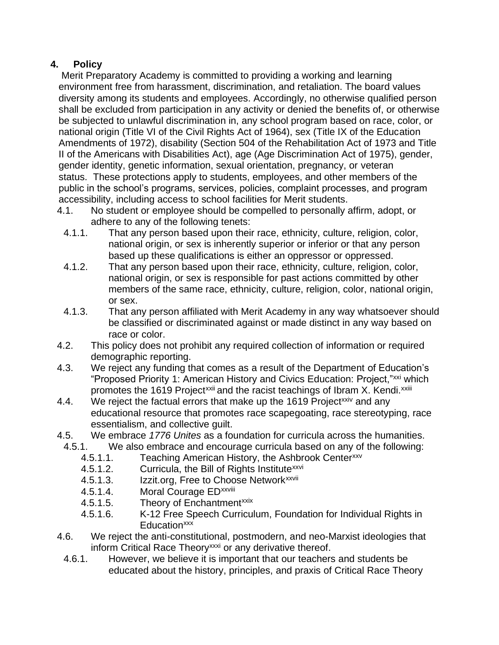# **4. Policy**

Merit Preparatory Academy is committed to providing a working and learning environment free from harassment, discrimination, and retaliation. The board values diversity among its students and employees. Accordingly, no otherwise qualified person shall be excluded from participation in any activity or denied the benefits of, or otherwise be subjected to unlawful discrimination in, any school program based on race, color, or national origin (Title VI of the Civil Rights Act of 1964), sex (Title IX of the Education Amendments of 1972), disability (Section 504 of the Rehabilitation Act of 1973 and Title II of the Americans with Disabilities Act), age (Age Discrimination Act of 1975), gender, gender identity, genetic information, sexual orientation, pregnancy, or veteran status. These protections apply to students, employees, and other members of the public in the school's programs, services, policies, complaint processes, and program accessibility, including access to school facilities for Merit students.

- 4.1. No student or employee should be compelled to personally affirm, adopt, or adhere to any of the following tenets:
	- 4.1.1. That any person based upon their race, ethnicity, culture, religion, color, national origin, or sex is inherently superior or inferior or that any person based up these qualifications is either an oppressor or oppressed.
	- 4.1.2. That any person based upon their race, ethnicity, culture, religion, color, national origin, or sex is responsible for past actions committed by other members of the same race, ethnicity, culture, religion, color, national origin, or sex.
	- 4.1.3. That any person affiliated with Merit Academy in any way whatsoever should be classified or discriminated against or made distinct in any way based on race or color.
- 4.2. This policy does not prohibit any required collection of information or required demographic reporting.
- 4.3. We reject any funding that comes as a result of the Department of Education's "Proposed Priority 1: American History and Civics Education: Project,"xxi which promotes the 1619 Project<sup>xxii</sup> and the racist teachings of Ibram X. Kendi.<sup>xxiii</sup>
- 4.4. We reject the factual errors that make up the 1619 Project<sup>xxiv</sup> and any educational resource that promotes race scapegoating, race stereotyping, race essentialism, and collective guilt.
- 4.5. We embrace *1776 Unites* as a foundation for curricula across the humanities.
- 4.5.1. We also embrace and encourage curricula based on any of the following:
	- 4.5.1.1. Teaching American History, the Ashbrook Center<sup>xxv</sup>
	- 4.5.1.2. Curricula, the Bill of Rights Institute<sup>xxvi</sup>
	- 4.5.1.3. Izzit.org, Free to Choose Network<sup>xxvii</sup>
	- 4.5.1.4. Moral Courage ED<sup>xxviii</sup>
	- 4.5.1.5. Theory of Enchantment<sup>xxix</sup>
	- 4.5.1.6. K-12 Free Speech Curriculum, Foundation for Individual Rights in Education<sup>xxx</sup>
- 4.6. We reject the anti-constitutional, postmodern, and neo-Marxist ideologies that inform Critical Race Theory<sup>xxxi</sup> or any derivative thereof.
	- 4.6.1. However, we believe it is important that our teachers and students be educated about the history, principles, and praxis of Critical Race Theory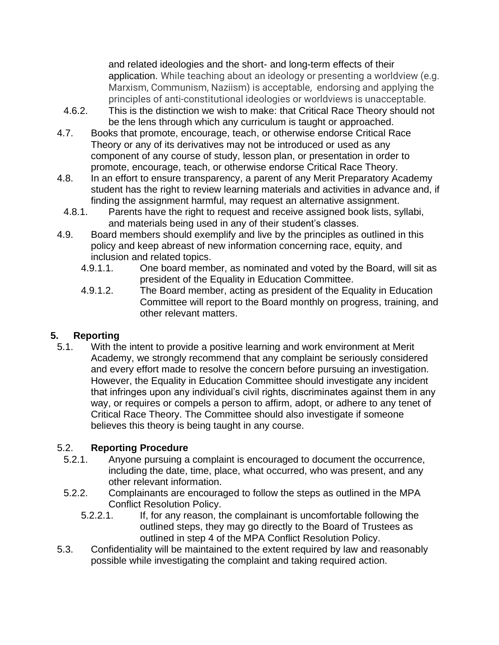and related ideologies and the short- and long-term effects of their application. While teaching about an ideology or presenting a worldview (e.g. Marxism, Communism, Naziism) is acceptable, endorsing and applying the principles of anti-constitutional ideologies or worldviews is unacceptable.

- 4.6.2. This is the distinction we wish to make: that Critical Race Theory should not be the lens through which any curriculum is taught or approached.
- 4.7. Books that promote, encourage, teach, or otherwise endorse Critical Race Theory or any of its derivatives may not be introduced or used as any component of any course of study, lesson plan, or presentation in order to promote, encourage, teach, or otherwise endorse Critical Race Theory.
- 4.8. In an effort to ensure transparency, a parent of any Merit Preparatory Academy student has the right to review learning materials and activities in advance and, if finding the assignment harmful, may request an alternative assignment.
	- 4.8.1. Parents have the right to request and receive assigned book lists, syllabi, and materials being used in any of their student's classes.
- 4.9. Board members should exemplify and live by the principles as outlined in this policy and keep abreast of new information concerning race, equity, and inclusion and related topics.
	- 4.9.1.1. One board member, as nominated and voted by the Board, will sit as president of the Equality in Education Committee.
	- 4.9.1.2. The Board member, acting as president of the Equality in Education Committee will report to the Board monthly on progress, training, and other relevant matters.

# **5. Reporting**

5.1. With the intent to provide a positive learning and work environment at Merit Academy, we strongly recommend that any complaint be seriously considered and every effort made to resolve the concern before pursuing an investigation. However, the Equality in Education Committee should investigate any incident that infringes upon any individual's civil rights, discriminates against them in any way, or requires or compels a person to affirm, adopt, or adhere to any tenet of Critical Race Theory. The Committee should also investigate if someone believes this theory is being taught in any course.

# 5.2. **Reporting Procedure**

- 5.2.1. Anyone pursuing a complaint is encouraged to document the occurrence, including the date, time, place, what occurred, who was present, and any other relevant information.
- 5.2.2. Complainants are encouraged to follow the steps as outlined in the MPA Conflict Resolution Policy.
	- 5.2.2.1. If, for any reason, the complainant is uncomfortable following the outlined steps, they may go directly to the Board of Trustees as outlined in step 4 of the MPA Conflict Resolution Policy.
- 5.3. Confidentiality will be maintained to the extent required by law and reasonably possible while investigating the complaint and taking required action.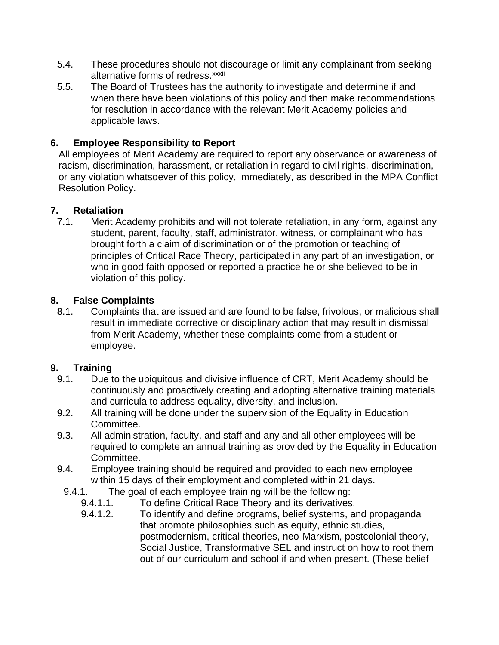- 5.4. These procedures should not discourage or limit any complainant from seeking alternative forms of redress.<sup>xxxii</sup>
- 5.5. The Board of Trustees has the authority to investigate and determine if and when there have been violations of this policy and then make recommendations for resolution in accordance with the relevant Merit Academy policies and applicable laws.

# **6. Employee Responsibility to Report**

All employees of Merit Academy are required to report any observance or awareness of racism, discrimination, harassment, or retaliation in regard to civil rights, discrimination, or any violation whatsoever of this policy, immediately, as described in the MPA Conflict Resolution Policy.

# **7. Retaliation**

7.1. Merit Academy prohibits and will not tolerate retaliation, in any form, against any student, parent, faculty, staff, administrator, witness, or complainant who has brought forth a claim of discrimination or of the promotion or teaching of principles of Critical Race Theory, participated in any part of an investigation, or who in good faith opposed or reported a practice he or she believed to be in violation of this policy.

### **8. False Complaints**

8.1. Complaints that are issued and are found to be false, frivolous, or malicious shall result in immediate corrective or disciplinary action that may result in dismissal from Merit Academy, whether these complaints come from a student or employee.

# **9. Training**

- 9.1. Due to the ubiquitous and divisive influence of CRT, Merit Academy should be continuously and proactively creating and adopting alternative training materials and curricula to address equality, diversity, and inclusion.
- 9.2. All training will be done under the supervision of the Equality in Education Committee.
- 9.3. All administration, faculty, and staff and any and all other employees will be required to complete an annual training as provided by the Equality in Education Committee.
- 9.4. Employee training should be required and provided to each new employee within 15 days of their employment and completed within 21 days.
- 9.4.1. The goal of each employee training will be the following:
	- 9.4.1.1. To define Critical Race Theory and its derivatives.
	- 9.4.1.2. To identify and define programs, belief systems, and propaganda that promote philosophies such as equity, ethnic studies, postmodernism, critical theories, neo-Marxism, postcolonial theory, Social Justice, Transformative SEL and instruct on how to root them out of our curriculum and school if and when present. (These belief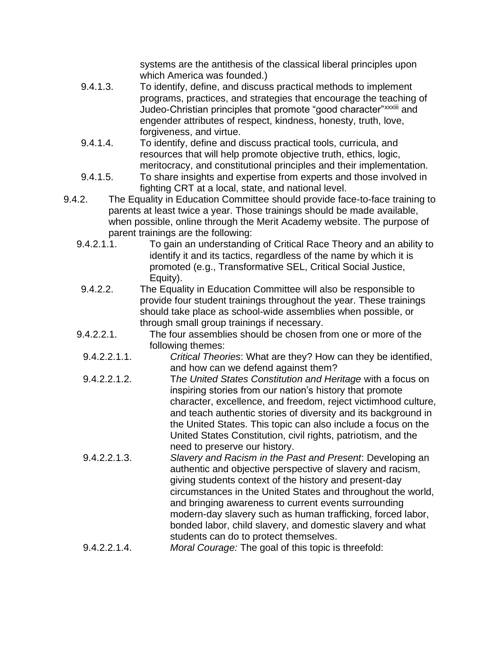systems are the antithesis of the classical liberal principles upon which America was founded.)

- 9.4.1.3. To identify, define, and discuss practical methods to implement programs, practices, and strategies that encourage the teaching of Judeo-Christian principles that promote "good character"xxxiii and engender attributes of respect, kindness, honesty, truth, love, forgiveness, and virtue.
- 9.4.1.4. To identify, define and discuss practical tools, curricula, and resources that will help promote objective truth, ethics, logic, meritocracy, and constitutional principles and their implementation.
- 9.4.1.5. To share insights and expertise from experts and those involved in fighting CRT at a local, state, and national level.
- 9.4.2. The Equality in Education Committee should provide face-to-face training to parents at least twice a year. Those trainings should be made available, when possible, online through the Merit Academy website. The purpose of parent trainings are the following:
	- 9.4.2.1.1. To gain an understanding of Critical Race Theory and an ability to identify it and its tactics, regardless of the name by which it is promoted (e.g., Transformative SEL, Critical Social Justice, Equity).
	- 9.4.2.2. The Equality in Education Committee will also be responsible to provide four student trainings throughout the year. These trainings should take place as school-wide assemblies when possible, or through small group trainings if necessary.
	- 9.4.2.2.1. The four assemblies should be chosen from one or more of the following themes:
		- 9.4.2.2.1.1. *Critical Theories*: What are they? How can they be identified, and how can we defend against them?
	- 9.4.2.2.1.2. T*he United States Constitution and Heritage* with a focus on inspiring stories from our nation's history that promote character, excellence, and freedom, reject victimhood culture, and teach authentic stories of diversity and its background in the United States. This topic can also include a focus on the United States Constitution, civil rights, patriotism, and the need to preserve our history.
	- 9.4.2.2.1.3. *Slavery and Racism in the Past and Present*: Developing an authentic and objective perspective of slavery and racism, giving students context of the history and present-day circumstances in the United States and throughout the world, and bringing awareness to current events surrounding modern-day slavery such as human trafficking, forced labor, bonded labor, child slavery, and domestic slavery and what students can do to protect themselves.
	- 9.4.2.2.1.4. *Moral Courage:* The goal of this topic is threefold: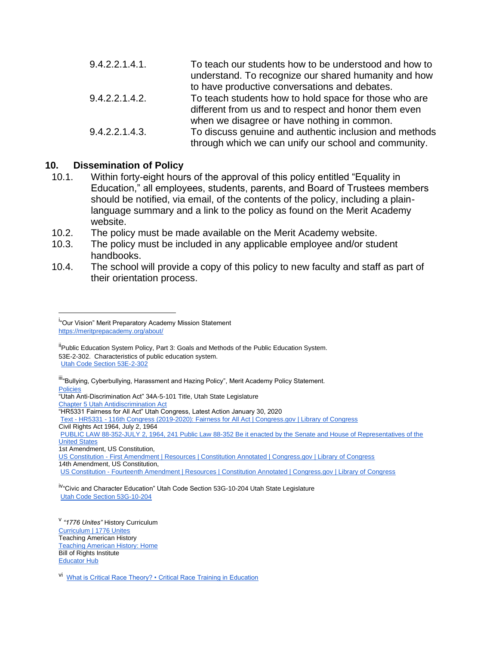| 9.4.2.2.1.4.1. | To teach our students how to be understood and how to<br>understand. To recognize our shared humanity and how |
|----------------|---------------------------------------------------------------------------------------------------------------|
|                | to have productive conversations and debates.                                                                 |
| 9.4.2.2.1.4.2. | To teach students how to hold space for those who are                                                         |
|                | different from us and to respect and honor them even                                                          |
|                | when we disagree or have nothing in common.                                                                   |
| 9.4.2.2.1.4.3. | To discuss genuine and authentic inclusion and methods                                                        |
|                | through which we can unify our school and community.                                                          |

### **10. Dissemination of Policy**

- 10.1. Within forty-eight hours of the approval of this policy entitled "Equality in Education," all employees, students, parents, and Board of Trustees members should be notified, via email, of the contents of the policy, including a plainlanguage summary and a link to the policy as found on the Merit Academy website.
- 10.2. The policy must be made available on the Merit Academy website.
- 10.3. The policy must be included in any applicable employee and/or student handbooks.
- 10.4. The school will provide a copy of this policy to new faculty and staff as part of their orientation process.

Ill"Bullying, Cyberbullying, Harassment and Hazing Policy", Merit Academy Policy Statement. [Policies](https://meritprepacademy.org/policies/)

"Utah Anti-Discrimination Act" 34A-5-101 Title, Utah State Legislature [Chapter 5 Utah Antidiscrimination Act](https://le.utah.gov/xcode/Title34A/Chapter5/C34A-5_1800010118000101.pdf)

"HR5331 Fairness for All Act" Utah Congress, Latest Action January 30, 2020

Text - HR5331 - [116th Congress \(2019-2020\): Fairness for All Act | Congress.gov | Library of Congress](https://www.congress.gov/bill/116th-congress/house-bill/5331/text?r=1&s=1)

Civil Rights Act 1964, July 2, 1964 PUBLIC LAW 88-352-JULY 2, 1964, 241 Public Law 88-352 Be it enacted by the Senate and House of Representatives of the [United State](https://www.govinfo.gov/content/pkg/STATUTE-78/pdf/STATUTE-78-Pg241.pdf)s

1st Amendment, US Constitution,

US Constitution - [First Amendment | Resources | Constitution Annotated | Congress.gov | Library of Congress](https://constitution.congress.gov/constitution/amendment-1/) 14th Amendment, US Constitution,

US Constitution - [Fourteenth Amendment | Resources | Constitution Annotated | Congress.gov | Library of Congress](https://constitution.congress.gov/constitution/amendment-14/)

iv<sub>"</sub>Civic and Character Education" Utah Code Section 53G-10-204 Utah State Legislature [Utah Code Section 53G-10-204](https://le.utah.gov/xcode/Title53G/Chapter10/53G-10-S204.html)

v *"1776 Unites"* History Curriculum [Curriculum | 1776 Unites](https://1776unites.com/our-work/curriculum/) Teaching American History [Teaching American History: Home](https://teachingamericanhistory.org/) **Bill of Rights Institute** [Educator Hub](https://billofrightsinstitute.org/educators)

vi [What is Critical Race Theory? • Critical Race Training in Education](https://criticalrace.org/what-is-critical-race-theory/)

<sup>&</sup>lt;sup>i.</sup><br>"Our Vision" Merit Preparatory Academy Mission Statement <https://meritprepacademy.org/about/>

<sup>&</sup>lt;sup>ii</sup>Public Education System Policy, Part 3: Goals and Methods of the Public Education System. 53E-2-302. Characteristics of public education system. [Utah Code Section 53E-2-302](https://le.utah.gov/xcode/Title53E/Chapter2/53E-2-S302.html)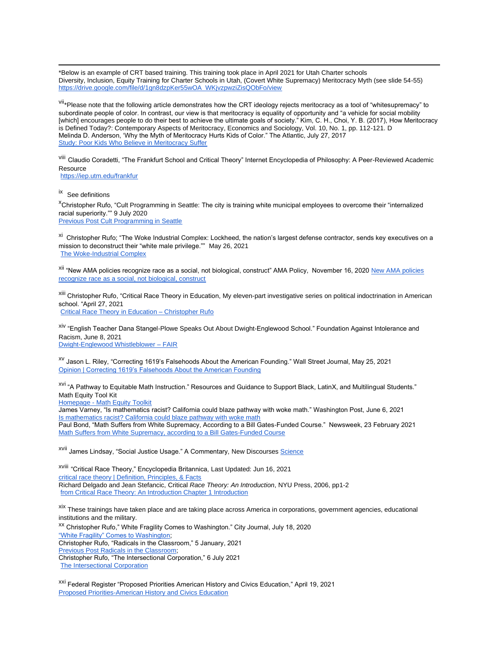\*Below is an example of CRT based training. This training took place in April 2021 for Utah Charter schools Diversity, Inclusion, Equity Training for Charter Schools in Utah, (Covert White Supremacy) Meritocracy Myth (see slide 54-55) [https://drive.google.com/file/d/1gn8dzpKer55wOA\\_WKjvzpwziZisQObFo/view](https://drive.google.com/file/d/1gn8dzpKer55wOA_WKjvzpwziZisQObFo/view)

vii<sub>\*</sub>Please note that the following article demonstrates how the CRT ideology rejects meritocracy as a tool of "whitesupremacy" to subordinate people of color. In contrast, our view is that meritocracy is equality of opportunity and "a vehicle for social mobility [which] encourages people to do their best to achieve the ultimate goals of society." Kim, C. H., Choi, Y. B. (2017), How Meritocracy is Defined Today?: Contemporary Aspects of Meritocracy, Economics and Sociology, Vol. 10, No. 1, pp. 112-121. D Melinda D. Anderson, 'Why the Myth of Meritocracy Hurts Kids of Color." The Atlantic, July 27, 2017 [Study: Poor Kids Who Believe in Meritocracy Suffer](https://www.theatlantic.com/education/archive/2017/07/internalizing-the-myth-of-meritocracy/535035/)

<sup>viii</sup> Claudio Coradetti, "The Frankfurt School and Critical Theory" Internet Encyclopedia of Philosophy: A Peer-Reviewed Academic **Resource** 

[https://iep.utm.edu/frankfur](https://iep.utm.edu/frankfur/)

ix See definitions

<sup>x</sup>Christopher Rufo, "Cult Programming in Seattle: The city is training white municipal employees to overcome their "internalized racial superiority."" 9 July 2020 [Previous Post Cult Programming in Seattle](https://christopherrufo.com/cult-programming-in-seattle/)

<sup>xi</sup> Christopher Rufo; "The Woke Industrial Complex: Lockheed, the nation's largest defense contractor, sends key executives on a mission to deconstruct their "white male privilege."" May 26, 2021 [The Woke-Industrial Complex](https://christopherrufo.com/the-woke-industrial-complex/)

<sup>xii</sup> "New AMA policies recognize race as a social, not biological, construct" AMA Policy, November 16, 2020 New AMA policies [recognize race as a social, not biological, construct](https://www.ama-assn.org/press-center/press-releases/new-ama-policies-recognize-race-social-not-biological-construct)

xiii Christopher Rufo, "Critical Race Theory in Education, My eleven-part investigative series on political indoctrination in American school. "April 27, 2021 [Critical Race Theory in Education –](https://christopherrufo.com/critical-race-theory-in-education/) Christopher Rufo

xiv "English Teacher Dana Stangel-Plowe Speaks Out About Dwight-Englewood School." Foundation Against Intolerance and Racism, June 8, 2021 [Dwight-Englewood Whistleblower –](https://www.fairforall.org/profiles-in-courage/dwight-englewood-whistleblower/) FAIR

xv Jason L. Riley, "Correcting 1619's Falsehoods About the American Founding." Wall Street Journal, May 25, 2021 [Opinion | Correcting 1619's Falsehoods About the American Founding](https://www.wsj.com/articles/correcting-1619s-falsehoods-about-the-american-founding-11621981288)

xvi "A Pathway to Equitable Math Instruction." Resources and Guidance to Support Black, LatinX, and Multilingual Students." Math Equity Tool Kit

Homepage - [Math Equity Toolkit](https://equitablemath.org/)

James Varney, "Is mathematics racist? California could blaze pathway with woke math." Washington Post, June 6, 2021 [Is mathematics racist? California could blaze pathway with woke math](https://www.washingtontimes.com/news/2021/jun/6/is-mathematics-racist-california-could-blaze-pathw/)

Paul Bond, "Math Suffers from White Supremacy, According to a Bill Gates-Funded Course." Newsweek, 23 February 2021 [Math Suffers from White Supremacy, according to a Bill Gates-Funded Course](https://www.newsweek.com/math-suffers-white-supremacy-according-bill-gates-funded-course-1571511)

xvii James Lindsay, "Social Justice Usage." A Commentary, New Discourses [Science](https://newdiscourses.com/tftw-science/)

xviii "Critical Race Theory," Encyclopedia Britannica, Last Updated: Jun 16, 2021 [critical race theory | Definition, Principles, & Facts](https://www.britannica.com/topic/critical-race-theory) Richard Delgado and Jean Stefancic, Critical *Race Theory: An Introduction*, NYU Press, 2006, pp1-2 [from Critical Race Theory: An Introduction Chapter 1 Introduction](https://jordaninstituteforfamilies.org/wp-content/uploads/2020/04/Delgado_and_Stefancic_on_Critical_Race_Theory.pdf)

xix These trainings have taken place and are taking place across America in corporations, government agencies, educational institutions and the military.

xx Christopher Rufo," White Fragility Comes to Washington." City Journal, July 18, 2020 ["White Fragility" Comes to Washington;](https://www.city-journal.org/white-fragility-comes-to-washington) Christopher Rufo, "Radicals in the Classroom," 5 January, 2021 [Previous Post Radicals in the Classroom;](https://christopherrufo.com/radicals-in-the-classroom/)  Christopher Rufo, "The Intersectional Corporation," 6 July 2021 [The Intersectional Corporation](https://christopherrufo.com/the-woke-defense-contractor/)

<sup>xxi</sup> Federal Register "Proposed Priorities American History and Civics Education," April 19, 2021 [Proposed Priorities-American History and Civics Education](https://www.federalregister.gov/documents/2021/04/19/2021-08068/proposed-priorities-american-history-and-civics-education)